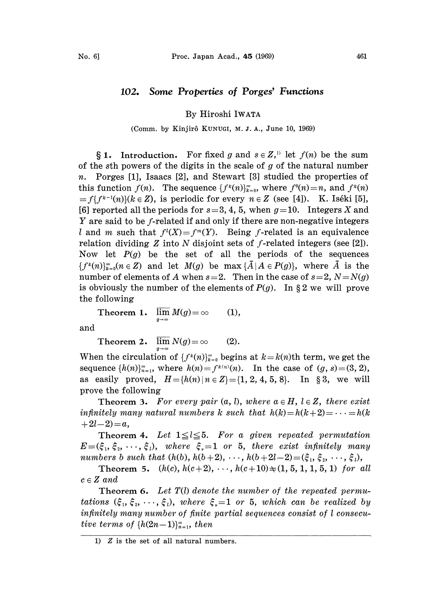## 102. Some Properties of Porges' Functions

## By Hiroshi IWATA

## (Comm. by Kinjirô KUNUGI, M. J. A., June 10, 1969)

**1.** Introduction. For fixed g and  $s \in Z$ , let  $f(n)$  be the sum of the sth powers of the digits in the scale of  $g$  of the natural number n. Porges [1], Isaacs [2], and Stewart [3] studied the properties of this function  $f(n)$ . The sequence  $\{f^k(n)\}_{k=0}^{\infty}$ , where  $f^0(n)=n$ , and  $f^k(n)$  $=f\{f^{k-1}(n)\}(k\in\mathbb{Z})$ , is periodic for every  $n\in\mathbb{Z}$  (see [4]). K. Iséki [5], [6] reported all the periods for  $s=3, 4, 5$ , when  $g=10$ . Integers X and Y are said to be f-related if and only if there are non-negative integers l and m such that  $f^{(1)}(X)=f^{(m)}(Y)$ . Being f-related is an equivalence relation dividing Z into N disjoint sets of f-related integers (see [2]). Now let  $P(g)$  be the set of all the periods of the sequences  ${f^k(n)}_{k=0}^{\infty}(n \in \mathbb{Z})$  and let  $M(g)$  be max  ${\{\overline{A} | A \in P(g)\}}$ , where  $\overline{A}$  is the number of elements of A when  $s=2$ . Then in the case of  $s=2$ ,  $N=N(q)$ is obviously the number of the elements of  $P(g)$ . In §2 we will prove the following

Theorem 1.  $\lim_{M(g)=\infty} M(g) = \infty$  (1),

and

Theorem 2.  $\lim_{x \to 0} N(g) = \infty$  (2).

When the circulation of  $\{f^k(n)\}_{k=0}^\infty$  begins at  $k=k(n)$ th term, we get the sequence  $\{h(n)\}_{n=1}^{\infty}$ , where  $h(n)=f^{k(n)}(n)$ . In the case of  $(g, s)=(3, 2)$ , as easily proved,  $H = \{h(n) | n \in \mathbb{Z}\} = \{1, 2, 4, 5, 8\}.$  In §3, we will prove the following

**Theorem 3.** For every pair  $(a, b)$ , where  $a \in H$ ,  $l \in Z$ , there exist infinitely many natural numbers k such that  $h(k) = h(k + 2) = \cdots = h(k)$  $+ 2l - 2 = a$ ,

Theorem 4. Let  $1 \leq l \leq 5$ . For a given repeated permutation  $E=(\xi_1, \xi_2, \dots, \xi_l)$ , where  $\xi =1$  or 5, there exist infinitely many numbers b such that  $(h(b), h(b+2), \dots, h(b+2l-2) = (\xi_1, \xi_2, \dots, \xi_l),$ 

Theorem 5.  $(h(c), h(c+2), \dots, h(c+10) \neq (1, 5, 1, 1, 5, 1)$  for all  $c \in Z$  and

**Theorem 6.** Let  $T(l)$  denote the number of the repeated permutations  $(\xi_1, \xi_2, \dots, \xi_l)$ , where  $\xi = 1$  or 5, which can be realized by infinitely many number of finite partial sequences consist of  $l$  consecutive terms of  $\{h(2n-1)\}_{n=1}^{\infty}$ , then

<sup>1)</sup>  $Z$  is the set of all natural numbers.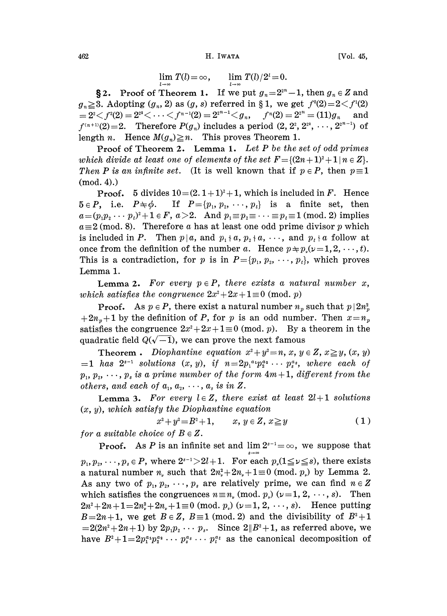$\lim T(l) = \infty$ ,  $\lim T(l) / 2^l = 0$ .

**§2.** Proof of Theorem 1. If we put  $g_n=2^{2^n}-1$ , then  $g_n \in \mathbb{Z}$  and  $g_n \geq 3$ . Adopting  $(g_n, 2)$  as  $(g, s)$  referred in § 1, we get  $f^0(2)=2\lt f^1(2)$  $2^2 < f^2(2) = 2^{2^2} < \cdots < f^{n-1}(2) = 2^{2^{n-1}} < g_n,$   $f^n(2) = 2^{2^n} = (11)g_n$  and  $f^{(n+1)}(2)=2$ . Therefore  $P(g_n)$  includes a period  $(2, 2^2, 2^{2^2}, \dots, 2^{2^{n-1}})$  of length n. Hence  $M(g_n) \geq n$ . This proves Theorem 1.

**Proof of Theorem 2.** Lemma 1. Let P be the set of odd primes which divide at least one of elements of the set  $F = \{(2n+1)^2 + 1 | n \in \mathbb{Z}\}.$ Then P is an infinite set. (It is well known that if  $p \in P$ , then  $p \equiv 1$  $(mod. 4).$ 

**Proof.** 5 divides  $10 = (2.1 + 1)^2 + 1$ , which is included in F. Hence  $5 \in P$ , i.e.  $P \neq \phi$ . If  $P = \{p_1, p_2, \dots, p_t\}$  is a finite set, then  $a=(p_1p_2\cdots p_t)^2+1 \in F$ ,  $a>2$ . And  $p_1\equiv p_2\equiv \cdots \equiv p_t\equiv 1 \pmod{2}$  implies  $a \equiv 2 \pmod{8}$ . Therefore a has at least one odd prime divisor p which is included in P. Then  $p | a$ , and  $p_1 + a$ ,  $p_2 + a$ , ..., and  $p_t + a$  follow at once from the definition of the number a. Hence  $p \neq p(\nu=1, 2, \dots, t)$ . This is a contradiction, for p is in  $P = \{p_1, p_2, \dots, p_t\}$ , which proves Lemma 1.

**Lemma 2.** For every  $p \in P$ , there exists a natural number x, which satisfies the congruence  $2x^2+2x+1\equiv 0 \pmod{p}$ 

**Proof.** As  $p \in P$ , there exist a natural number  $n_p$  such that  $p \mid 2n_p$  $+2n<sub>n</sub>+1$  by the definition of P, for p is an odd number. Then  $x=n<sub>n</sub>$ satisfies the congruence  $2x^2+2x+1\equiv 0 \pmod{p}$ . By a theorem in the quadratic field  $Q(\sqrt{-1})$ , we can prove the next famous

**Theorem**. Diophantine equation  $x^2 + y^2 = n$ ,  $x, y \in \mathbb{Z}$ ,  $x \geq y$ ,  $(x, y)$ =1 has  $2^{s-1}$  solutions  $(x, y)$ , if  $n=2p_1^{a_1}p_2^{a_2} \cdots p_s^{a_s}$ , where each of<br> $p_1, p_2, \cdots, p_s$  is a prime number of the form  $4m+1$ , different from the  $p_1, p_2, \dots, p_s$  is a prime number of the form  $4m+1$ , different from the others, and each of  $a_1, a_2, \cdots, a_s$  is in Z.

**Lemma 3.** For every  $l \in \mathbb{Z}$ , there exist at least  $2l+1$  solutions  $(x, y)$ , which satisfy the Diophantine equation

$$
x^2 + y^2 = B^2 + 1, \qquad x, y \in Z, x \ge y \tag{1}
$$

for a suitable choice of  $B \in \mathbb{Z}$ .

**Proof.** As P is an infinite set and  $\lim 2^{s-1} = \infty$ , we suppose that  $p_1, p_2, \dots, p_s \in P$ , where  $2^{s-1} > 2l+1$ . For each  $p_s(1 \le \nu \le s)$ , there exists a natural number  $n_{\nu}$  such that  $2n_{\nu}^2 + 2n_{\nu} + 1 \equiv 0 \pmod{p_{\nu}}$  by Lemma 2. As any two of  $p_1, p_2, \dots, p_s$  are relatively prime, we can find  $n \in \mathbb{Z}$ which satisfies the congruences  $n \equiv n$  (mod.  $p$ ) ( $\nu = 1, 2, \dots, s$ ). Then  $2n^2 + 2n + 1 = 2n_x^2 + 2n_x + 1 \equiv 0 \pmod{p}$   $(\nu = 1, 2, \dots, s)$ . Hence putting  $B=2n+1$ , we get  $B\in\mathbb{Z}$ ,  $B\equiv1\pmod{2}$  and the divisibility of  $B^2+1$  $=2(2n^2+2n+1)$  by  $2p_1p_2 \cdots p_s$ . Since  $2||B^2+1$ , as referred above, we have  $B^2+1=2p_1^{a_1}p_2^{a_2} \cdots p_s^{a_s} \cdots p_t^{a_t}$  as the canonical decomposition of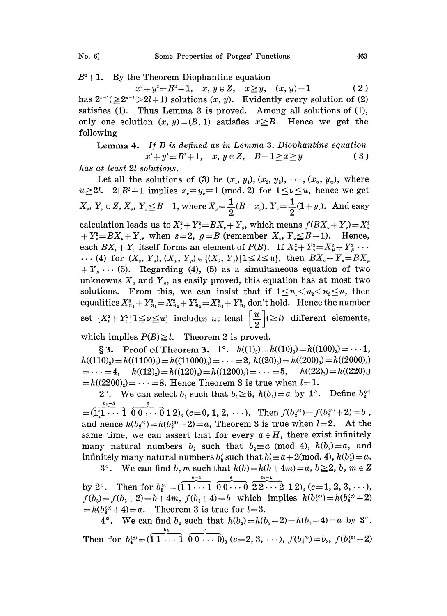$B^2+1$ . By the Theorem Diophantine equation

 $x^2+y^2=B^2+1$ ,  $x, y \in Z$ ,  $x \geq y$ ,  $(x, y)=1$  (2) has  $2^{t-1}(\geq 2^{s-1}) \geq 2l+1$ ) solutions  $(x, y)$ . Evidently every solution of (2) satisfies (1). Thus Lemma <sup>3</sup> is proved. Among all solutions of (1), only one solution  $(x, y) = (B, 1)$  satisfies  $x \ge B$ . Hence we get the following

Lemma 4. If B is defined as in Lemma 3. Diophantine equation  $x^2+y^2=B^2+1$ ,  $x, y \in Z$ ,  $B-1 \ge x \ge y$  (3)

has at least 21 solutions.

Let all the solutions of (3) be  $(x_1, y_1), (x_2, y_2), \cdots, (x_u, y_u)$ , where  $u \geq 2l$ .  $2||B^2+1$  implies  $x_v \equiv y_v \equiv 1 \pmod{2}$  for  $1 \leq v \leq u$ , hence we get  $X_{\nu}$ ,  $Y_{\nu} \in Z$ ,  $X_{\nu}$ ,  $Y_{\nu} \leq B-1$ , where  $X_{\nu} = \frac{1}{2}(B+x_{\nu})$ ,  $Y_{\nu} = \frac{1}{2}(1+y_{\nu})$ . And easy calculation leads us to  $X^2 + Y^2 = BX + Y$ , which means  $f(BX + Y) = X^2$  $+Y_*^2=BX_*+Y_*$ , when  $s=2$ ,  $g=B$  (remember  $X_*, Y_*\leq B-1$ ). Hence, each  $BX_r + Y_r$  itself forms an element of  $P(B)$ . If  $X_r^2 + Y_r^2 = X_r^2 + Y_r^2 + \cdots$  $\cdots$  (4) for  $(X_{\nu}, Y_{\nu}), (X_{\nu}, Y_{\nu}) \in \{(X_{\nu}, Y_{\nu}) \mid 1 \leq \lambda \leq u\}$ , then  $BX_{\nu} + Y_{\nu} = BX_{\nu}$  $+Y_{\mu}\cdots$  (5). Regarding (4), (5) as a simultaneous equation of two unknowns  $X_{\mu}$  and  $Y_{\mu}$ , as easily proved, this equation has at most two solutions. From this, we can insist that if  $1 \leq n_1 \leq n_2 \leq n_3 \leq u$ , then equalities  $X_{n_1}^2 + Y_{n_1}^2 = X_{n_2}^2 + Y_{n_2}^2 = X_{n_3}^2 + Y_{n_3}^2$  don't hold. Hence the number set  $\{X_\nu^2 + Y_\nu^2 | 1 \leq \nu \leq u\}$  includes at least  $\left[\frac{u}{2}\right] (\geq l)$  different elements, which implies  $P(B) \geq l$ . Theorem 2 is proved.

§ 3. Proof of Theorem 3. 1°.  $h((1)_3) = h((10)_3) = h((100)_3) = \cdots 1$ ,  $h((110)_3) = h((1100)_3) = h((11000)_3) = \cdots = 2, h((20)_3) = h((200)_3) = h((2000)_3)$  $= \cdots = 4, \quad h((12)_3) = h((120)_3) = h((1200)_3) = \cdots = 5, \quad h((22)_3) = h((220)_3)$  $= h((2200)) = \cdots = 8$ . Hence Theorem 3 is true when  $l=1$ .

2°. We can select  $b_1$  such that  $b_1 \geq 6$ ,  $h(b_1)=a$  by 1°. Define  $b_2^{(c)}$  $b_1-5$  $=(1\cdot1\cdot1\cdot1\cdot0\cdot0\cdot0\cdot1\cdot0)$ <sub>3</sub> (c=0, 1, 2, ...). Then  $f(b_2^{(c)})=f(b_2^{(c)}+2)=b_1$ , and hence  $h(b_i^{(c)})=h(b_i^{(c)}+2)=a$ , Theorem 3 is true when  $l=2$ . At the same time, we can assert that for every  $a \in H$ , there exist infinitely

many natural numbers  $b_2$  such that  $b_2 \equiv a \pmod{4}$ ,  $h(b_2)=a$ , and infinitely many natural numbers  $b'_2$  such that  $b'_2 \equiv a + 2 \pmod{4}$ ,  $h(b'_2) = a$ . 3°. We can find b, m such that  $h(b)=h(b+4m)=a, b\geq 2, b, m \in \mathbb{Z}$ 

 $-1$  c  $m-1$ by 2°. Then for  $b_{\rm s}^{\text{(c)}}=(11\cdots1\,\,0\,0\cdots0\,\,2\,2\cdots2\,\,1\,2)_{\text{s}}$  (c=1, 2, 3,  $\cdots$  ),  $f(b_3) = f(b_3 + 2) = b + 4m$ ,  $f(b_3 + 4) = b$  which implies  $h(b_3^{(c)}) = h(b_3^{(c)} + 2)$  $=h(b_3^{(c)}+4)=a$ . Theorem 3 is true for  $l=3$ .

4°. We can find  $b_s$  such that  $h(b_3)=h(b_3+2)=h(b_3+4)=a$  by 3°. Then for  $b_4^{(c)}=(\overbrace{11\cdots 1}^{\overline{b_3}} \overbrace{0\ 0\ \cdots\ 0}^c, (c=2, 3, \cdots), f(b_4^{(c)})=b_3, f(b_4^{(c)}+2)$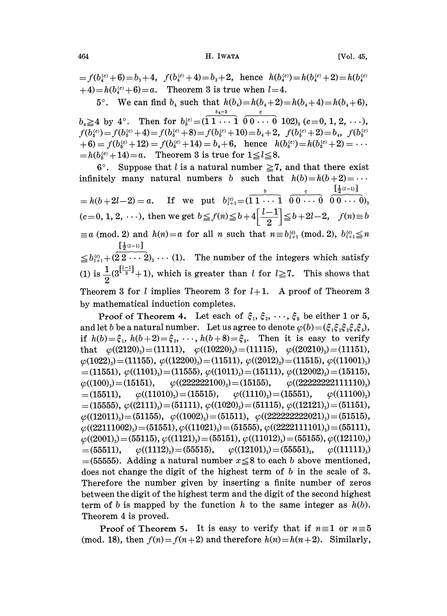464 H. IWATA [Vol. 45,

 $f(b_4^{(c)}+6)=b_3+4$ ,  $f(b_4^{(c)}+4)=b_3+2$ , hence  $h(b_4^{(c)})=h(b_4^{(c)})$  $+4)=h(b_4^{(c)}+6)=a$ . Theorem 3 is true when  $l=4$ .

5°. We can find  $b_4$  such that  $h(b_4)=h(b_4+2)=h(b_4+4)=h(b_4+6)$ ,  $b_4 \geq 4$  by  $4^{\circ}$ . Then for  $b_6^{(c)} = (\stackrel{b_4-3}{1 \cdot \cdot \cdot} \stackrel{c}{1} \stackrel{c}{0 \cdot \cdot \cdot \cdot} \stackrel{c}{0} \stackrel{c}{102})_3$   $(c=0, 1, 2, \cdots),$  $f(b_5^{(c)}) = f(b_5^{(c)} + 4) = f(b_5^{(c)} + 8) = f(b_5^{(c)} + 10) = b_4 + 2$ ,  $f(b_5^{(c)} + 2) = b_4$ ,  $f(b_5^{(c)} + 2) = b_5$  $+ 6$ ) =  $f(b_5^{(c)} + 12) = f(b_5^{(c)} + 14) = b_4 + 6$ , hence  $h(b_5^{(c)}) = h(b_5^{(c)} + 2)$  $b) = f(0_6^{(c)} + 12) = f(0_6^{(c)} + 14) = 0_4 + 6$ , nence *no*<br>  $h(b_6^{(c)} + 14) = a$ . Theorem 3 is true for  $1 \le l \le 8$ .

6°. Suppose that l is a natural number  $\geq 7$ , and that there exist infinitely many natural numbers b such that  $h(b)=h(b+2)=\cdots$  $\alpha = h(b+2l-2) = a.$  If we put  $b_{i+1}^{(c)} = (\overbrace{11 \cdots 1}^{b} \overbrace{0 \ 0 \cdots 0}^{c} \overbrace{0 \ 0 \cdots 0}^{[\frac{1}{2}(l-1)]})$  $(c=0, 1, 2, \dots)$ , then we get  $b \le f(n) \le b+4\left[\frac{l-1}{2}\right] \le b+2l-2$ ,  $f(n) \equiv b$ <br>  $\equiv a \pmod{2}$  and  $h(n) = a$  for all n such that  $n \equiv b_{l+1}^{(e)} \pmod{2}$ ,  $b_{l+1}^{(e)} \le n$ <br>  $\left[\frac{1}{2}^{(l-1)}\right]$  $\leq b_{i+1}^{(c)} + (2 \overline{2 \cdot \cdot \cdot 2})_3 \cdot \cdot \cdot (1)$ . The number of the integers which satisfy (1) is  $\frac{1}{2}(3^{\left[\frac{l-1}{2}\right]}+1)$ , which is greater than l for  $l \geq 7$ . This shows that Theorem 3 for l implies Theorem 3 for  $l+1$ . A proof of Theorem 3 by mathematical induction completes.

Proof of Theorem 4. Let each of  $\xi_1, \xi_2, \dots, \xi_5$  be either 1 or 5, and let b be a natural number. Let us agree to denote  $\varphi(b) = (\xi_1 \xi_2 \xi_3 \xi_4 \xi_5)$ , if  $h(b) = \xi_1$ ,  $h(b+2) = \xi_2$ , ...,  $h(b+8) = \xi_5$ . Then it is easy to verify that  $\varphi((2120)_3) = (11111), \quad \varphi((10220)_3) = (11115), \quad \varphi((20210)_3) = (11151),$  $\varphi(1022)_3$ =(11155),  $\varphi((12200)_3)$ =(11511),  $\varphi((2012)_3)$ =(11515),  $\varphi((11001)_3)$ =(11551),  $\varphi((1101)_3)$ =(11555),  $\varphi((1011)_3)$ =(15111),  $\varphi((12002)_3)$ =(15115),<br> $\varphi((100)_3)$ =(15151),  $\varphi((222222100)_3)$ =(15155),  $\varphi((22222222111110)_3)$  $\varphi((100)_9) = (15151), \qquad \varphi((222222100)_9) = (15155), \qquad \varphi((22222222111110)_9) = (15511), \qquad \varphi((11010)_9) = (15515), \qquad \varphi((1110)_9) = (15551), \qquad \varphi((11100)_9) = (15511), \qquad \varphi((11100)_9) = (15511), \qquad \varphi((11100)_9) = (15511), \qquad \varphi((11100)_9) = (15511), \qquad \varphi$ =(15511),  $\varphi((11010)_3)$ =(15515),  $\varphi((1110)_3)$ =(15551),  $\varphi((11100)_3)$ <br>=(15555),  $\varphi((2111)_3)$ =(51111),  $\varphi((1020)_3)$ =(51115),  $\varphi((12121)_3)$ =(51151),  $\varphi((12011)_3)=(51155), \quad \varphi((1002)_3)=(51511), \quad \varphi((222222222021)_3)=(51515),$  $\varphi((22111002)_3) = (51551), \varphi((11021)_3) = (51555), \varphi((2222111101)_3) = (55111),$  $\varphi((2001)_3) = (55115), \varphi((1121)_3) = (55151), \varphi((11012)_3) = (55155), \varphi((12110)_3)$  $=$  (55511),  $\varphi$ ((1112)<sub>3</sub>) = (55515),  $\varphi$ ((12101)<sub>3</sub>) = (55551)<sub>3</sub>,  $\varphi$ ((11111)<sub>3</sub>)  $=(55555)$ . Adding a natural number  $x \le 8$  to each b above mentioned, does not change the digit of the highest term of  $b$  in the scale of 3. Therefore the number given by inserting a finite number of zeros between the digit of the highest term and the digit of the second highest term of b is mapped by the function h to the same integer as  $h(b)$ . Theorem 4 is proved.

**Proof of Theorem 5.** It is easy to verify that if  $n \equiv 1$  or  $n \equiv 5$ (mod. 18), then  $f(n) = f(n+2)$  and therefore  $h(n) = h(n+2)$ . Similarly,